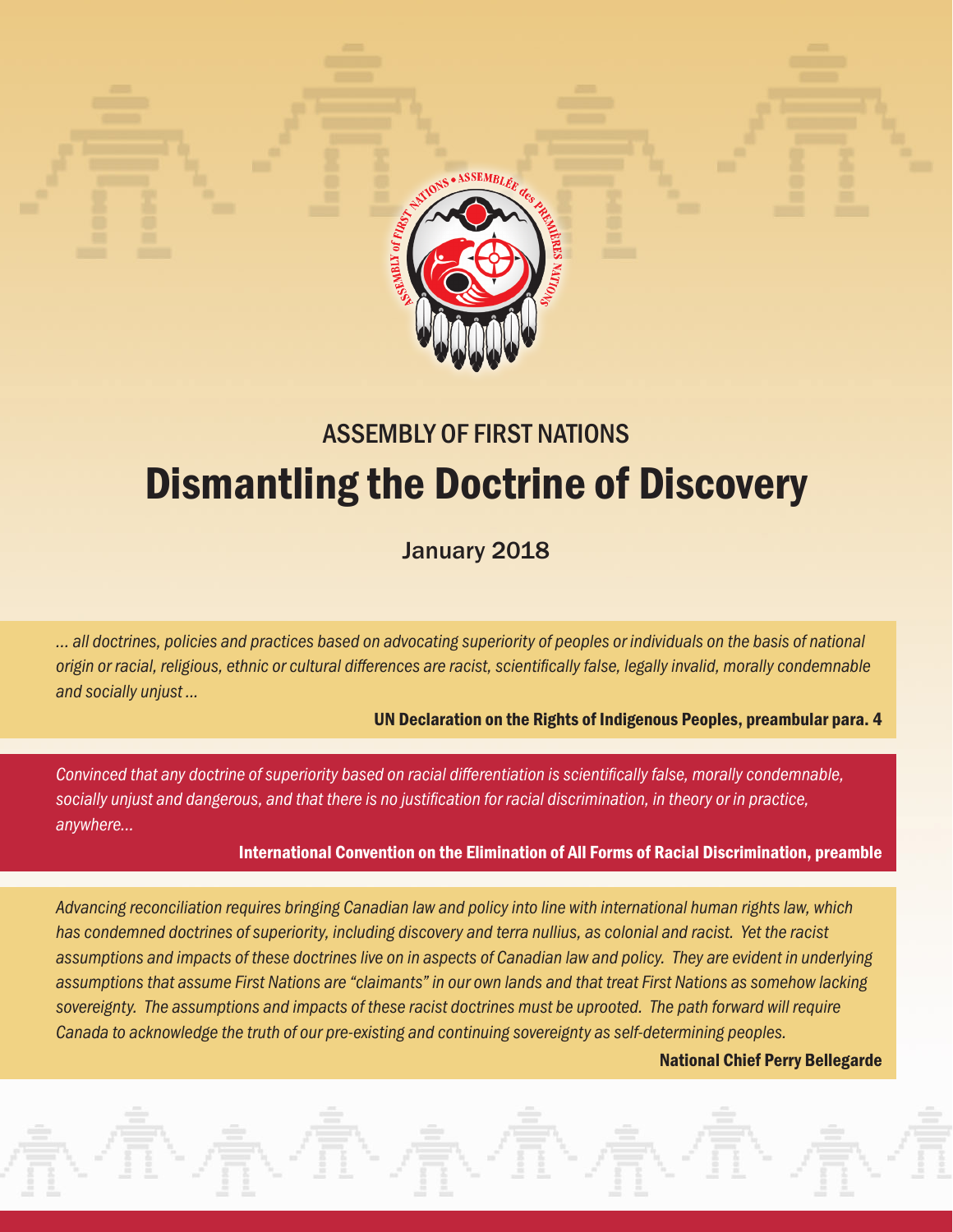

# ASSEMBLY OF FIRST NATIONS Dismantling the Doctrine of Discovery

# January 2018

*… all doctrines, policies and practices based on advocating superiority of peoples or individuals on the basis of national origin or racial, religious, ethnic or cultural differences are racist, scientifically false, legally invalid, morally condemnable and socially unjust ...*

UN Declaration on the Rights of Indigenous Peoples, preambular para. 4

*Convinced that any doctrine of superiority based on racial differentiation is scientifically false, morally condemnable, socially unjust and dangerous, and that there is no justification for racial discrimination, in theory or in practice, anywhere...*

#### International Convention on the Elimination of All Forms of Racial Discrimination, preamble

*Advancing reconciliation requires bringing Canadian law and policy into line with international human rights law, which has condemned doctrines of superiority, including discovery and terra nullius, as colonial and racist. Yet the racist assumptions and impacts of these doctrines live on in aspects of Canadian law and policy. They are evident in underlying assumptions that assume First Nations are "claimants" in our own lands and that treat First Nations as somehow lacking sovereignty. The assumptions and impacts of these racist doctrines must be uprooted. The path forward will require Canada to acknowledge the truth of our pre-existing and continuing sovereignty as self-determining peoples.*

#### National Chief Perry Bellegarde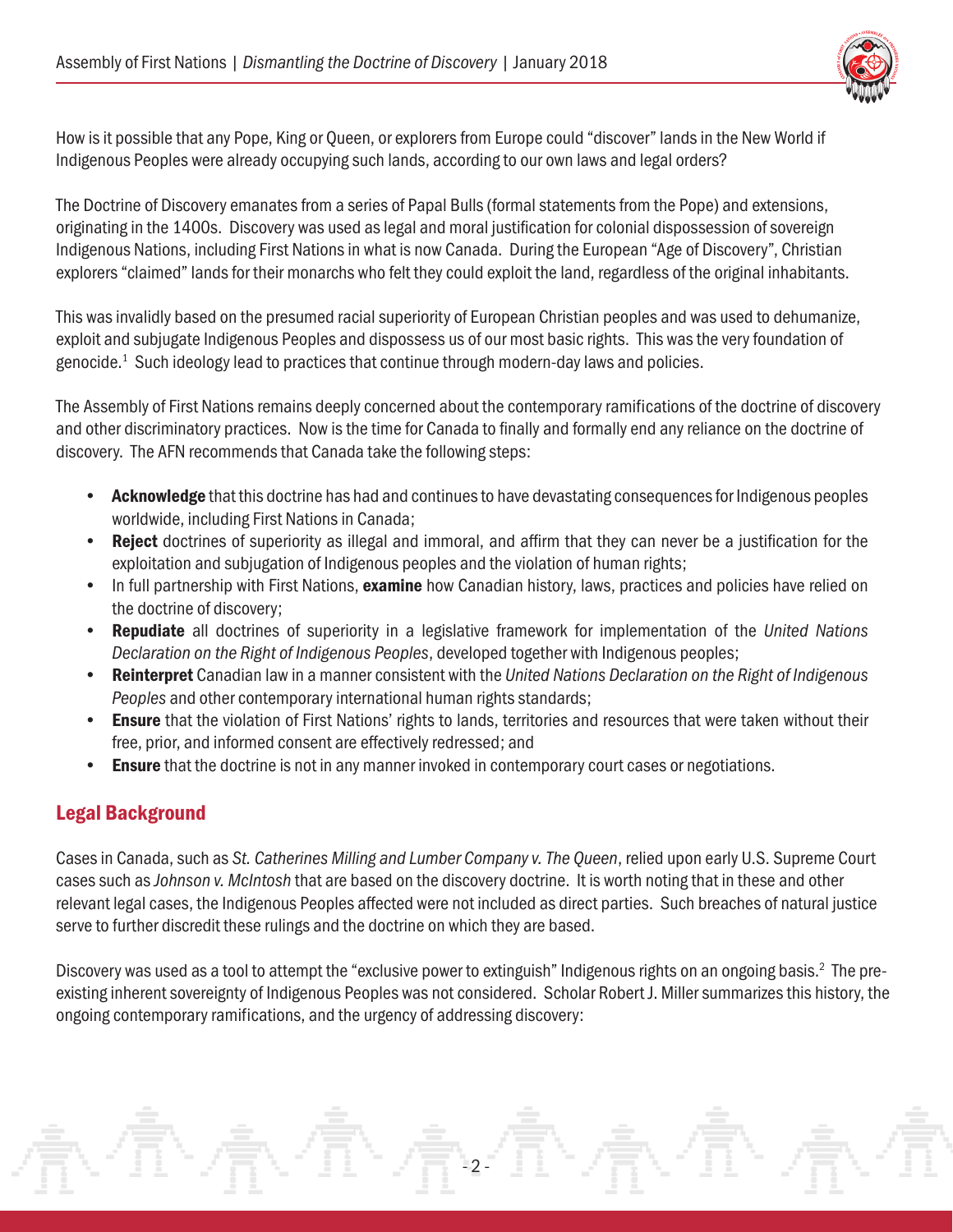

How is it possible that any Pope, King or Queen, or explorers from Europe could "discover" lands in the New World if Indigenous Peoples were already occupying such lands, according to our own laws and legal orders?

The Doctrine of Discovery emanates from a series of Papal Bulls (formal statements from the Pope) and extensions, originating in the 1400s. Discovery was used as legal and moral justification for colonial dispossession of sovereign Indigenous Nations, including First Nations in what is now Canada. During the European "Age of Discovery", Christian explorers "claimed" lands for their monarchs who felt they could exploit the land, regardless of the original inhabitants.

This was invalidly based on the presumed racial superiority of European Christian peoples and was used to dehumanize, exploit and subjugate Indigenous Peoples and dispossess us of our most basic rights. This was the very foundation of genocide. $<sup>1</sup>$  $<sup>1</sup>$  $<sup>1</sup>$  Such ideology lead to practices that continue through modern-day laws and policies.</sup>

The Assembly of First Nations remains deeply concerned about the contemporary ramifications of the doctrine of discovery and other discriminatory practices. Now is the time for Canada to finally and formally end any reliance on the doctrine of discovery. The AFN recommends that Canada take the following steps:

- Acknowledge that this doctrine has had and continues to have devastating consequences for Indigenous peoples worldwide, including First Nations in Canada;
- Reject doctrines of superiority as illegal and immoral, and affirm that they can never be a justification for the exploitation and subjugation of Indigenous peoples and the violation of human rights;
- In full partnership with First Nations, examine how Canadian history, laws, practices and policies have relied on the doctrine of discovery;
- Repudiate all doctrines of superiority in a legislative framework for implementation of the *United Nations Declaration on the Right of Indigenous Peoples*, developed together with Indigenous peoples;
- Reinterpret Canadian law in a manner consistent with the *United Nations Declaration on the Right of Indigenous Peoples* and other contemporary international human rights standards;
- Ensure that the violation of First Nations' rights to lands, territories and resources that were taken without their free, prior, and informed consent are effectively redressed; and
- **Ensure** that the doctrine is not in any manner invoked in contemporary court cases or negotiations.

## Legal Background

Cases in Canada, such as *St. Catherines Milling and Lumber Company v. The Queen*, relied upon early U.S. Supreme Court cases such as *Johnson v. McIntosh* that are based on the discovery doctrine. It is worth noting that in these and other relevant legal cases, the Indigenous Peoples affected were not included as direct parties. Such breaches of natural justice serve to further discredit these rulings and the doctrine on which they are based.

Discovery was used as a tool to attempt the "exclusive power to extinguish" Indigenous rights on an ongoing basis.<sup>[2](#page-6-0)</sup> The preexisting inherent sovereignty of Indigenous Peoples was not considered. Scholar Robert J. Miller summarizes this history, the ongoing contemporary ramifications, and the urgency of addressing discovery:

- 2 -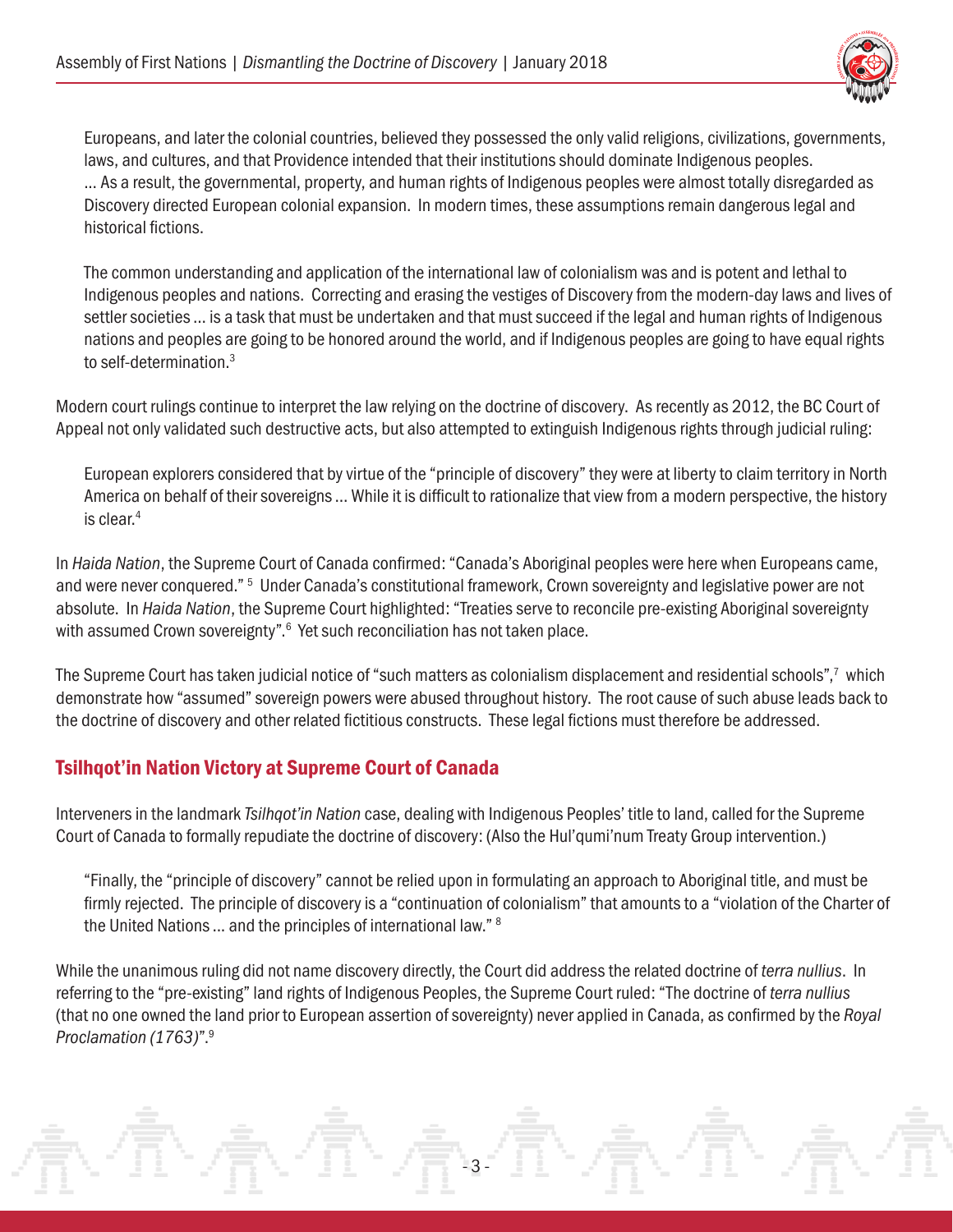

Europeans, and later the colonial countries, believed they possessed the only valid religions, civilizations, governments, laws, and cultures, and that Providence intended that their institutions should dominate Indigenous peoples. ... As a result, the governmental, property, and human rights of Indigenous peoples were almost totally disregarded as Discovery directed European colonial expansion. In modern times, these assumptions remain dangerous legal and historical fictions.

The common understanding and application of the international law of colonialism was and is potent and lethal to Indigenous peoples and nations. Correcting and erasing the vestiges of Discovery from the modern-day laws and lives of settler societies ... is a task that must be undertaken and that must succeed if the legal and human rights of Indigenous nations and peoples are going to be honored around the world, and if Indigenous peoples are going to have equal rights to self-determination.[3](#page-6-0)

Modern court rulings continue to interpret the law relying on the doctrine of discovery. As recently as 2012, the BC Court of Appeal not only validated such destructive acts, but also attempted to extinguish Indigenous rights through judicial ruling:

European explorers considered that by virtue of the "principle of discovery" they were at liberty to claim territory in North America on behalf of their sovereigns ... While it is difficult to rationalize that view from a modern perspective, the history is clear[.4](#page-6-0)

In *Haida Nation*, the Supreme Court of Canada confirmed: "Canada's Aboriginal peoples were here when Europeans came, and were never conquered." <sup>[5](#page-6-0)</sup> Under Canada's constitutional framework, Crown sovereignty and legislative power are not absolute. In *Haida Nation*, the Supreme Court highlighted: "Treaties serve to reconcile pre-existing Aboriginal sovereignty with assumed Crown sovereignty".<sup>[6](#page-6-0)</sup> Yet such reconciliation has not taken place.

The Supreme Court has taken judicial notice of "such matters as colonialism displacement and residential schools", $^7\,$  $^7\,$  $^7\,$  which demonstrate how "assumed" sovereign powers were abused throughout history. The root cause of such abuse leads back to the doctrine of discovery and other related fictitious constructs. These legal fictions must therefore be addressed.

#### Tsilhqot'in Nation Victory at Supreme Court of Canada

Interveners in the landmark *Tsilhqot'in Nation* case, dealing with Indigenous Peoples' title to land, called for the Supreme Court of Canada to formally repudiate the doctrine of discovery: (Also the Hul'qumi'num Treaty Group intervention.)

"Finally, the "principle of discovery" cannot be relied upon in formulating an approach to Aboriginal title, and must be firmly rejected. The principle of discovery is a "continuation of colonialism" that amounts to a "violation of the Charter of the United Nations ... and the principles of international law." [8](#page-6-0)

While the unanimous ruling did not name discovery directly, the Court did address the related doctrine of *terra nullius*. In referring to the "pre-existing" land rights of Indigenous Peoples, the Supreme Court ruled: "The doctrine of *terra nullius* (that no one owned the land prior to European assertion of sovereignty) never applied in Canada, as confirmed by the *Royal Proclamation (1763)*"[.9](#page-6-0)

- 3 -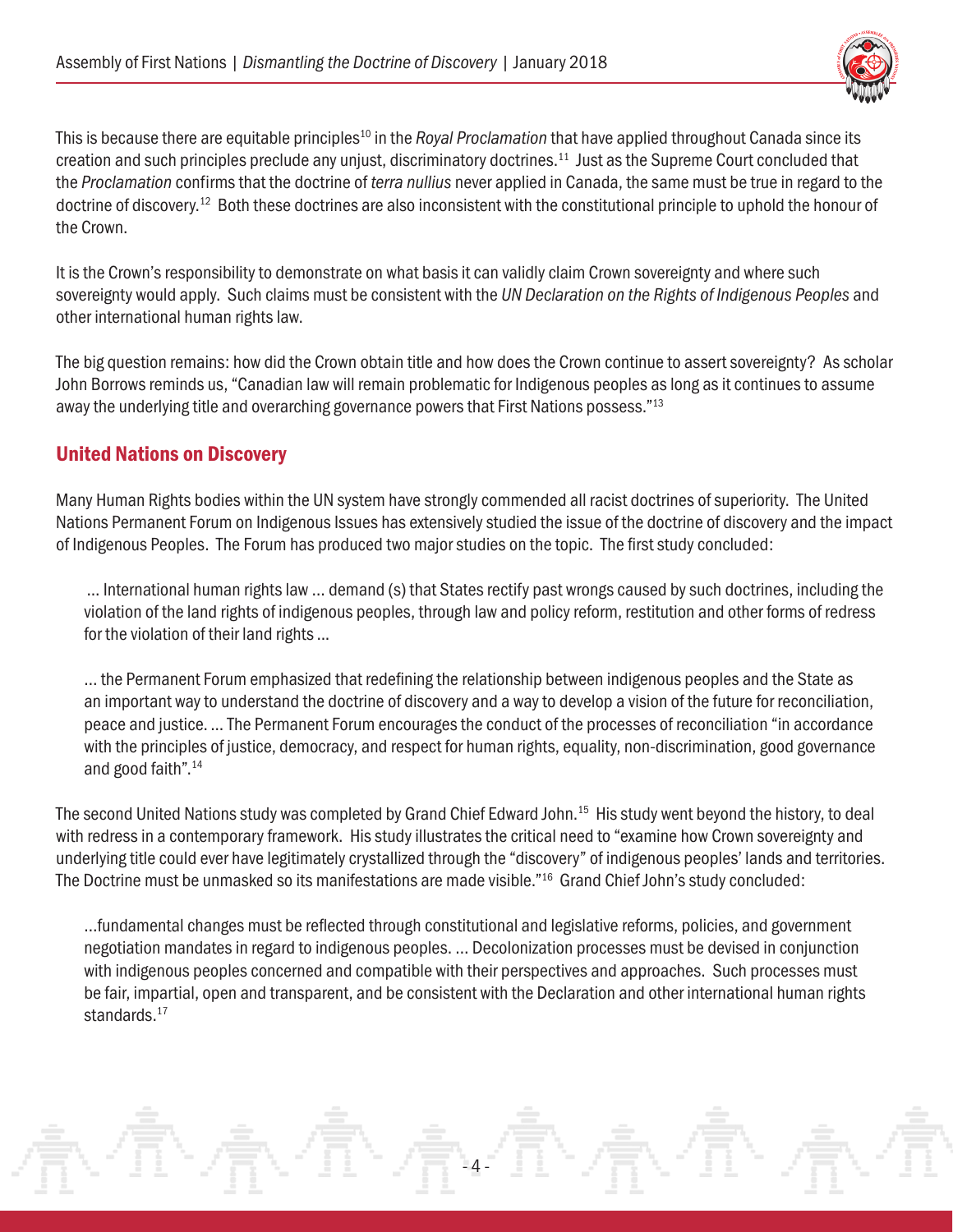

This is because there are equitable principles<sup>10</sup> in the *Royal Proclamation* that have applied throughout Canada since its creation and such principles preclude any unjust, discriminatory doctrines.[11](#page-6-0) Just as the Supreme Court concluded that the *Proclamation* confirms that the doctrine of *terra nullius* never applied in Canada, the same must be true in regard to the doctrine of discovery[.12](#page-6-0) Both these doctrines are also inconsistent with the constitutional principle to uphold the honour of the Crown.

It is the Crown's responsibility to demonstrate on what basis it can validly claim Crown sovereignty and where such sovereignty would apply. Such claims must be consistent with the *UN Declaration on the Rights of Indigenous Peoples* and other international human rights law.

The big question remains: how did the Crown obtain title and how does the Crown continue to assert sovereignty? As scholar John Borrows reminds us, "Canadian law will remain problematic for Indigenous peoples as long as it continues to assume away the underlying title and overarching governance powers that First Nations possess.["13](#page-6-0)

#### United Nations on Discovery

Many Human Rights bodies within the UN system have strongly commended all racist doctrines of superiority. The United Nations Permanent Forum on Indigenous Issues has extensively studied the issue of the doctrine of discovery and the impact of Indigenous Peoples. The Forum has produced two major studies on the topic. The first study concluded:

 ... International human rights law … demand (s) that States rectify past wrongs caused by such doctrines, including the violation of the land rights of indigenous peoples, through law and policy reform, restitution and other forms of redress for the violation of their land rights ...

… the Permanent Forum emphasized that redefining the relationship between indigenous peoples and the State as an important way to understand the doctrine of discovery and a way to develop a vision of the future for reconciliation, peace and justice. ... The Permanent Forum encourages the conduct of the processes of reconciliation "in accordance with the principles of justice, democracy, and respect for human rights, equality, non-discrimination, good governance and good faith"[.14](#page-6-0)

The second United Nations study was completed by Grand Chief Edward John.<sup>15</sup> His study went beyond the history, to deal with redress in a contemporary framework. His study illustrates the critical need to "examine how Crown sovereignty and underlying title could ever have legitimately crystallized through the "discovery" of indigenous peoples' lands and territories. The Doctrine must be unmasked so its manifestations are made visible.["16](#page-6-0) Grand Chief John's study concluded:

…fundamental changes must be reflected through constitutional and legislative reforms, policies, and government negotiation mandates in regard to indigenous peoples. … Decolonization processes must be devised in conjunction with indigenous peoples concerned and compatible with their perspectives and approaches. Such processes must be fair, impartial, open and transparent, and be consistent with the Declaration and other international human rights standards.<sup>[17](#page-6-0)</sup>

- 4 -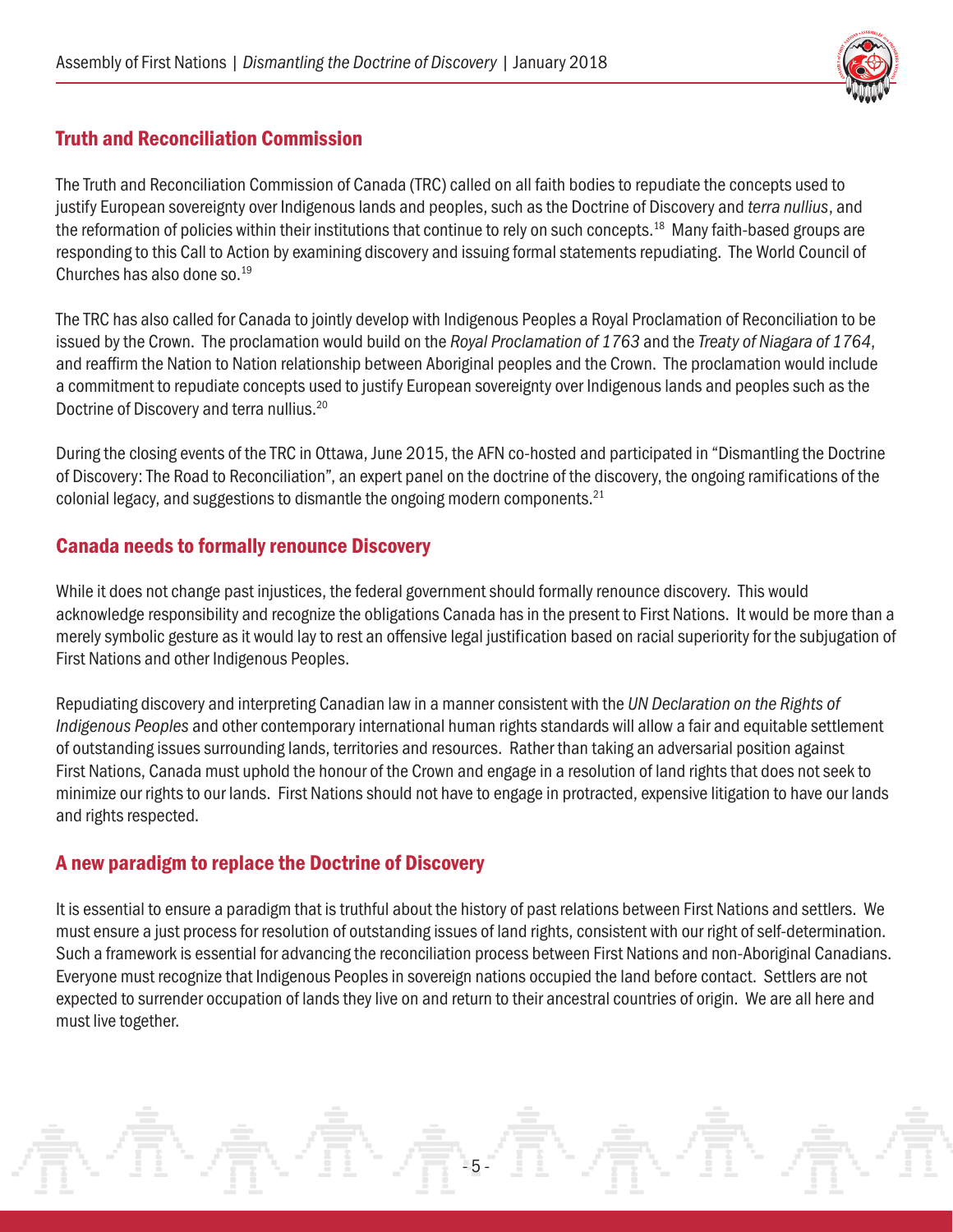

### Truth and Reconciliation Commission

The Truth and Reconciliation Commission of Canada (TRC) called on all faith bodies to repudiate the concepts used to justify European sovereignty over Indigenous lands and peoples, such as the Doctrine of Discovery and *terra nullius*, and the reformation of policies within their institutions that continue to rely on such concepts.<sup>18</sup> Many faith-based groups are responding to this Call to Action by examining discovery and issuing formal statements repudiating. The World Council of Churches has also done so.[19](#page-6-0)

The TRC has also called for Canada to jointly develop with Indigenous Peoples a Royal Proclamation of Reconciliation to be issued by the Crown. The proclamation would build on the *Royal Proclamation of 1763* and the *Treaty of Niagara of 1764*, and reaffirm the Nation to Nation relationship between Aboriginal peoples and the Crown. The proclamation would include a commitment to repudiate concepts used to justify European sovereignty over Indigenous lands and peoples such as the Doctrine of Discovery and terra nullius[.20](#page-6-0)

During the closing events of the TRC in Ottawa, June 2015, the AFN co-hosted and participated in "Dismantling the Doctrine of Discovery: The Road to Reconciliation", an expert panel on the doctrine of the discovery, the ongoing ramifications of the colonial legacy, and suggestions to dismantle the ongoing modern components. $^{21}$ 

#### Canada needs to formally renounce Discovery

While it does not change past injustices, the federal government should formally renounce discovery. This would acknowledge responsibility and recognize the obligations Canada has in the present to First Nations. It would be more than a merely symbolic gesture as it would lay to rest an offensive legal justification based on racial superiority for the subjugation of First Nations and other Indigenous Peoples.

Repudiating discovery and interpreting Canadian law in a manner consistent with the *UN Declaration on the Rights of Indigenous Peoples* and other contemporary international human rights standards will allow a fair and equitable settlement of outstanding issues surrounding lands, territories and resources. Rather than taking an adversarial position against First Nations, Canada must uphold the honour of the Crown and engage in a resolution of land rights that does not seek to minimize our rights to our lands. First Nations should not have to engage in protracted, expensive litigation to have our lands and rights respected.

#### A new paradigm to replace the Doctrine of Discovery

It is essential to ensure a paradigm that is truthful about the history of past relations between First Nations and settlers. We must ensure a just process for resolution of outstanding issues of land rights, consistent with our right of self-determination. Such a framework is essential for advancing the reconciliation process between First Nations and non-Aboriginal Canadians. Everyone must recognize that Indigenous Peoples in sovereign nations occupied the land before contact. Settlers are not expected to surrender occupation of lands they live on and return to their ancestral countries of origin. We are all here and must live together.

- 5 -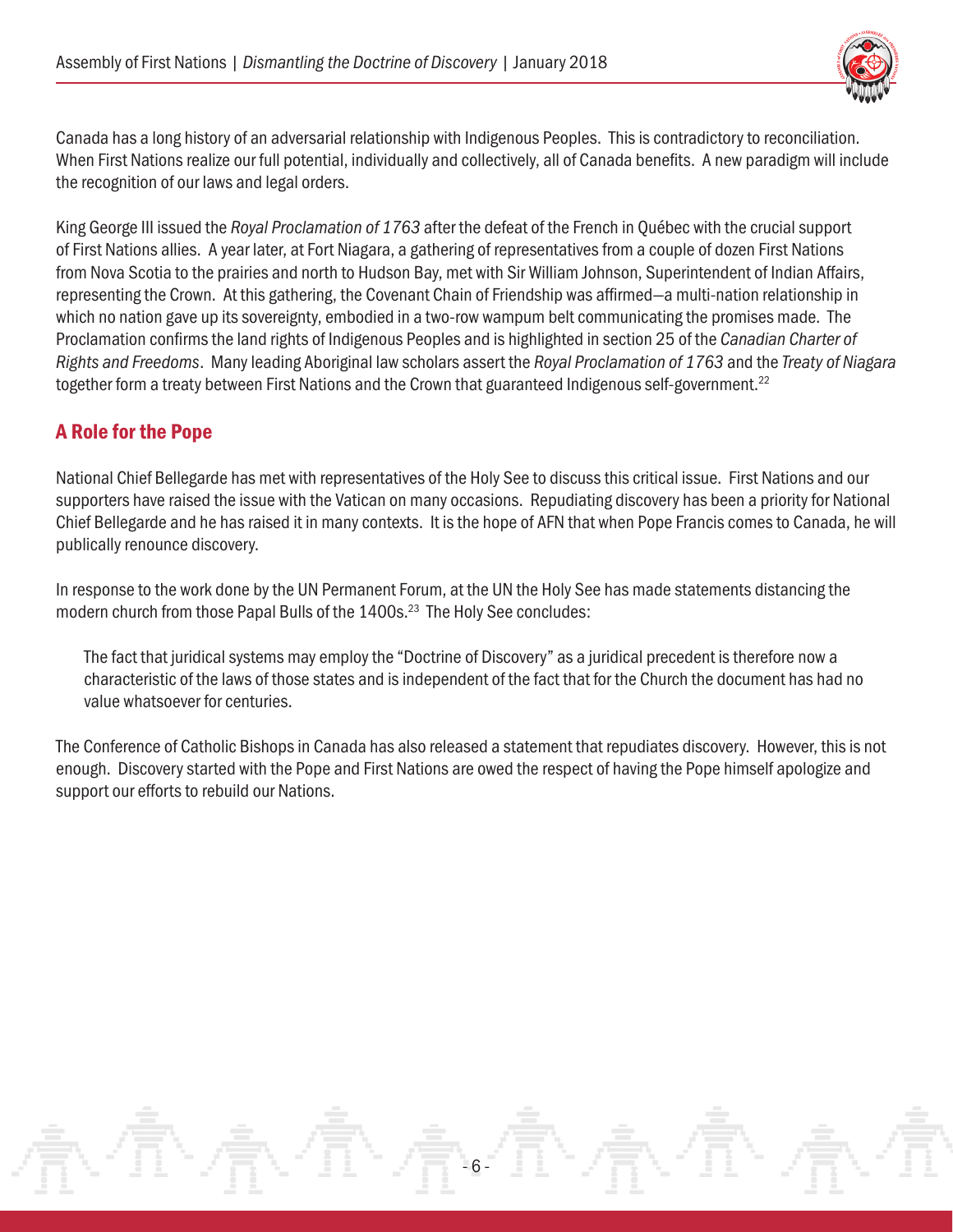

Canada has a long history of an adversarial relationship with Indigenous Peoples. This is contradictory to reconciliation. When First Nations realize our full potential, individually and collectively, all of Canada benefits. A new paradigm will include the recognition of our laws and legal orders.

King George III issued the *Royal Proclamation of 1763* after the defeat of the French in Québec with the crucial support of First Nations allies. A year later, at Fort Niagara, a gathering of representatives from a couple of dozen First Nations from Nova Scotia to the prairies and north to Hudson Bay, met with Sir William Johnson, Superintendent of Indian Affairs, representing the Crown. At this gathering, the Covenant Chain of Friendship was affirmed—a multi-nation relationship in which no nation gave up its sovereignty, embodied in a two-row wampum belt communicating the promises made. The Proclamation confirms the land rights of Indigenous Peoples and is highlighted in section 25 of the *Canadian Charter of Rights and Freedoms*. Many leading Aboriginal law scholars assert the *Royal Proclamation of 1763* and the *Treaty of Niagara*  together form a treaty between First Nations and the Crown that guaranteed Indigenous self-government.<sup>[22](#page-6-0)</sup>

#### A Role for the Pope

National Chief Bellegarde has met with representatives of the Holy See to discuss this critical issue. First Nations and our supporters have raised the issue with the Vatican on many occasions. Repudiating discovery has been a priority for National Chief Bellegarde and he has raised it in many contexts. It is the hope of AFN that when Pope Francis comes to Canada, he will publically renounce discovery.

In response to the work done by the UN Permanent Forum, at the UN the Holy See has made statements distancing the modern church from those Papal Bulls of the 1400s.<sup>23</sup> The Holy See concludes:

The fact that juridical systems may employ the "Doctrine of Discovery" as a juridical precedent is therefore now a characteristic of the laws of those states and is independent of the fact that for the Church the document has had no value whatsoever for centuries.

The Conference of Catholic Bishops in Canada has also released a statement that repudiates discovery. However, this is not enough. Discovery started with the Pope and First Nations are owed the respect of having the Pope himself apologize and support our efforts to rebuild our Nations.

- 6 -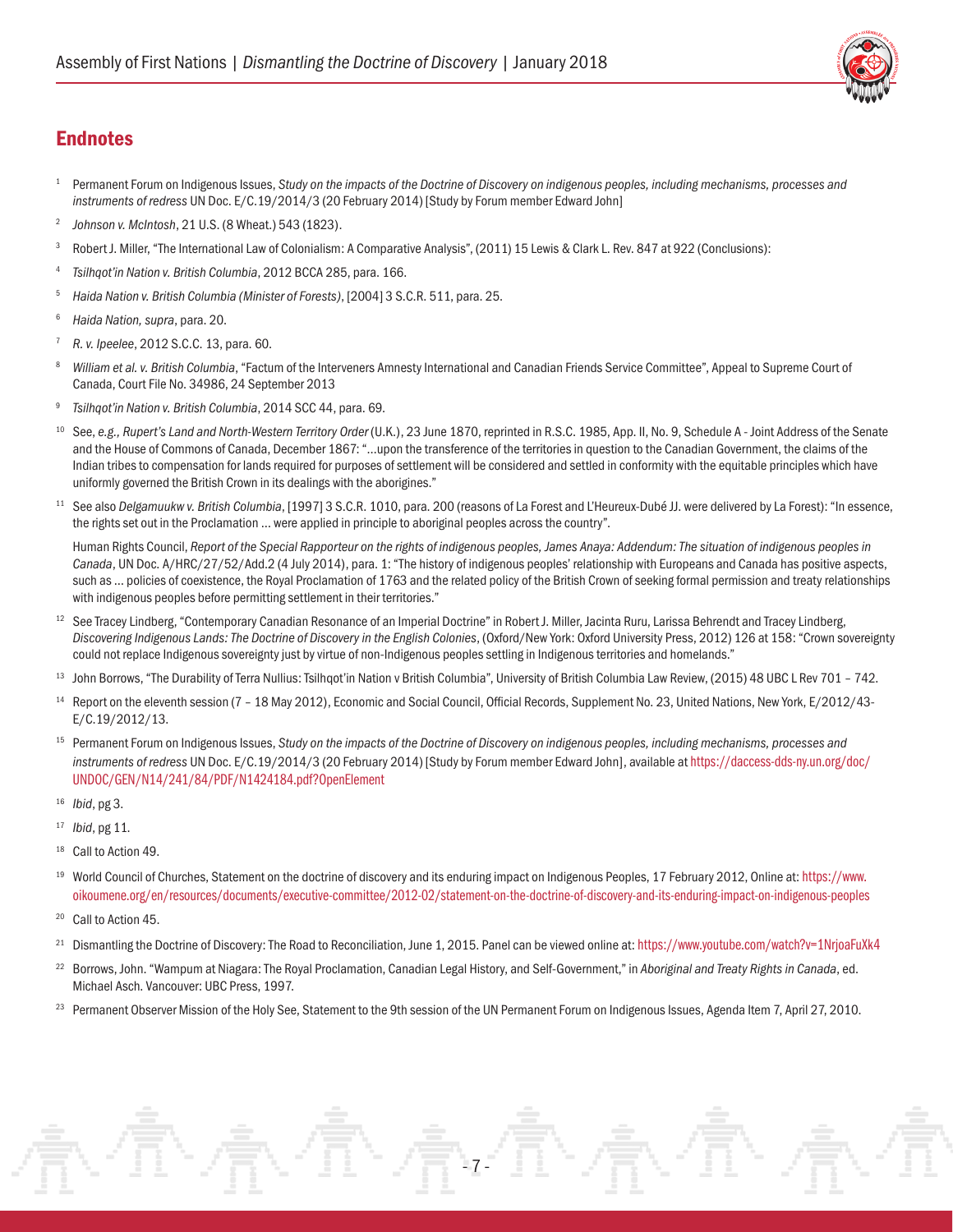

#### <span id="page-6-0"></span>**Endnotes**

- 1 Permanent Forum on Indigenous Issues, *Study on the impacts of the Doctrine of Discovery on indigenous peoples, including mechanisms, processes and instruments of redress* UN Doc. E/C.19/2014/3 (20 February 2014) [Study by Forum member Edward John]
- <sup>2</sup>*Johnson v. McIntosh*, 21 U.S. (8 Wheat.) 543 (1823).
- <sup>3</sup> Robert J. Miller, "The International Law of Colonialism: A Comparative Analysis", (2011) 15 Lewis & Clark L. Rev. 847 at 922 (Conclusions):
- <sup>4</sup> *Tsilhqot'in Nation v. British Columbia*, 2012 BCCA 285, para. 166.
- <sup>5</sup> *Haida Nation v. British Columbia (Minister of Forests)*, [2004] 3 S.C.R. 511, para. 25.
- <sup>6</sup> *Haida Nation, supra*, para. 20.
- <sup>7</sup> *R. v. Ipeelee*, 2012 S.C.C. 13, para. 60.
- William et al. v. British Columbia, "Factum of the Interveners Amnesty International and Canadian Friends Service Committee", Appeal to Supreme Court of Canada, Court File No. 34986, 24 September 2013
- <sup>9</sup> *Tsilhqot'in Nation v. British Columbia*, 2014 SCC 44, para. 69.
- <sup>10</sup> See, e.g., Rupert's Land and North-Western Territory Order (U.K.), 23 June 1870, reprinted in R.S.C. 1985, App. II, No. 9, Schedule A Joint Address of the Senate and the House of Commons of Canada, December 1867: "…upon the transference of the territories in question to the Canadian Government, the claims of the Indian tribes to compensation for lands required for purposes of settlement will be considered and settled in conformity with the equitable principles which have uniformly governed the British Crown in its dealings with the aborigines."
- <sup>11</sup> See also *Delgamuukw v. British Columbia*, [1997] 3 S.C.R. 1010, para. 200 (reasons of La Forest and L'Heureux-Dubé JJ. were delivered by La Forest): "In essence, the rights set out in the Proclamation … were applied in principle to aboriginal peoples across the country".

Human Rights Council, *Report of the Special Rapporteur on the rights of indigenous peoples, James Anaya: Addendum: The situation of indigenous peoples in Canada*, UN Doc. A/HRC/27/52/Add.2 (4 July 2014), para. 1: "The history of indigenous peoples' relationship with Europeans and Canada has positive aspects, such as ... policies of coexistence, the Royal Proclamation of 1763 and the related policy of the British Crown of seeking formal permission and treaty relationships with indigenous peoples before permitting settlement in their territories."

- <sup>12</sup> See Tracey Lindberg, "Contemporary Canadian Resonance of an Imperial Doctrine" in Robert J. Miller, Jacinta Ruru, Larissa Behrendt and Tracey Lindberg, *Discovering Indigenous Lands: The Doctrine of Discovery in the English Colonies*, (Oxford/New York: Oxford University Press, 2012) 126 at 158: "Crown sovereignty could not replace Indigenous sovereignty just by virtue of non-Indigenous peoples settling in Indigenous territories and homelands."
- <sup>13</sup> John Borrows, "The Durability of Terra Nullius: Tsilhqot'in Nation v British Columbia", University of British Columbia Law Review, (2015) 48 UBC L Rev 701 742.
- <sup>14</sup> Report on the eleventh session (7 18 May 2012), Economic and Social Council, Official Records, Supplement No. 23, United Nations, New York, E/2012/43-E/C.19/2012/13.
- <sup>15</sup> Permanent Forum on Indigenous Issues, *Study on the impacts of the Doctrine of Discovery on indigenous peoples, including mechanisms, processes and instruments of redress* UN Doc. E/C.19/2014/3 (20 February 2014) [Study by Forum member Edward John], available at [https://daccess-dds-ny.un.org/doc/](https://documents-dds-ny.un.org/doc/UNDOC/GEN/N14/241/84/PDF/N1424184.pdf?OpenElement) [UNDOC/GEN/N14/241/84/PDF/N1424184.pdf?OpenElement](https://documents-dds-ny.un.org/doc/UNDOC/GEN/N14/241/84/PDF/N1424184.pdf?OpenElement)
- <sup>16</sup> *Ibid*, pg 3.
- <sup>17</sup> *Ibid*, pg 11.
- <sup>18</sup> Call to Action 49.
- <sup>19</sup> World Council of Churches, Statement on the doctrine of discovery and its enduring impact on Indigenous Peoples, 17 February 2012, Online at: [https://www.](https://www.oikoumene.org/en/resources/documents/executive-committee/2012-02/statement-on-the-doctrine-of-discovery-and-its-enduring-impact-on-indigenous-peoples) [oikoumene.org/en/resources/documents/executive-committee/2012-02/statement-on-the-doctrine-of-discovery-and-its-enduring-impact-on-indigenous-peoples](https://www.oikoumene.org/en/resources/documents/executive-committee/2012-02/statement-on-the-doctrine-of-discovery-and-its-enduring-impact-on-indigenous-peoples)
- <sup>20</sup> Call to Action 45.
- <sup>21</sup> Dismantling the Doctrine of Discovery: The Road to Reconciliation, June 1, 2015. Panel can be viewed online at: <https://www.youtube.com/watch?v=1NrjoaFuXk4>
- <sup>22</sup> Borrows, John. "Wampum at Niagara: The Royal Proclamation, Canadian Legal History, and Self-Government," in *Aboriginal and Treaty Rights in Canada*, ed. Michael Asch. Vancouver: UBC Press, 1997.
- <sup>23</sup> Permanent Observer Mission of the Holy See, Statement to the 9th session of the UN Permanent Forum on Indigenous Issues, Agenda Item 7, April 27, 2010.

- 7 -